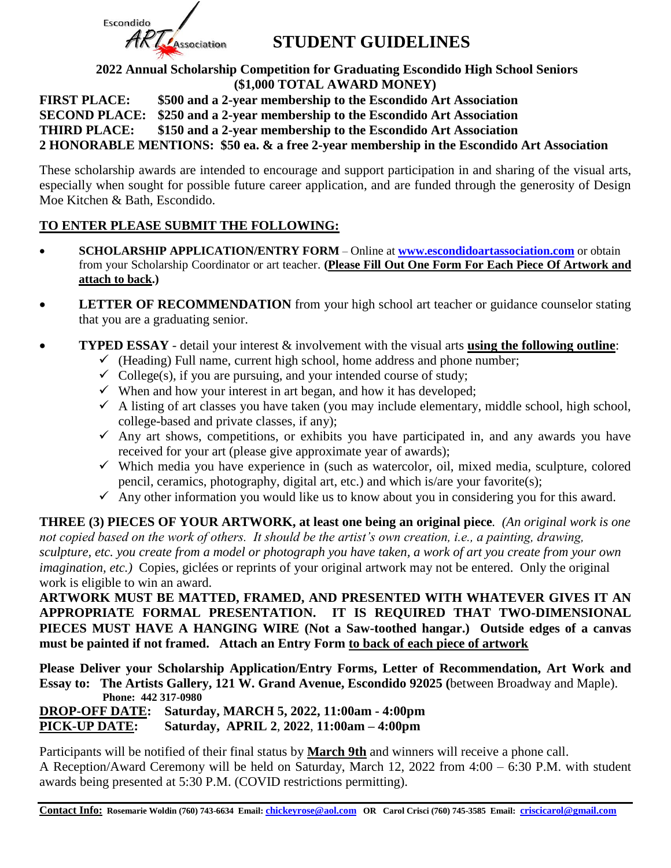

#### **STUDENT GUIDELINES**

**2022 Annual Scholarship Competition for Graduating Escondido High School Seniors (\$1,000 TOTAL AWARD MONEY)**

**FIRST PLACE: \$500 and a 2-year membership to the Escondido Art Association SECOND PLACE: \$250 and a 2-year membership to the Escondido Art Association THIRD PLACE: \$150 and a 2-year membership to the Escondido Art Association 2 HONORABLE MENTIONS: \$50 ea. & a free 2-year membership in the Escondido Art Association**

These scholarship awards are intended to encourage and support participation in and sharing of the visual arts, especially when sought for possible future career application, and are funded through the generosity of Design Moe Kitchen & Bath, Escondido.

#### **TO ENTER PLEASE SUBMIT THE FOLLOWING:**

- **SCHOLARSHIP APPLICATION/ENTRY FORM** Online at **[www.escondidoartassociation.com](http://www.escondidoartassociation.com/)** or obtain from your Scholarship Coordinator or art teacher. **(Please Fill Out One Form For Each Piece Of Artwork and attach to back.)**
- **LETTER OF RECOMMENDATION** from your high school art teacher or guidance counselor stating that you are a graduating senior.
- **TYPED ESSAY** detail your interest & involvement with the visual arts **using the following outline**:
	- $\checkmark$  (Heading) Full name, current high school, home address and phone number;
	- $\checkmark$  College(s), if you are pursuing, and your intended course of study;
	- $\checkmark$  When and how your interest in art began, and how it has developed;
	- $\checkmark$  A listing of art classes you have taken (you may include elementary, middle school, high school, college-based and private classes, if any);
	- $\checkmark$  Any art shows, competitions, or exhibits you have participated in, and any awards you have received for your art (please give approximate year of awards);
	- $\checkmark$  Which media you have experience in (such as watercolor, oil, mixed media, sculpture, colored pencil, ceramics, photography, digital art, etc.) and which is/are your favorite(s);
	- $\checkmark$  Any other information you would like us to know about you in considering you for this award.

**THREE (3) PIECES OF YOUR ARTWORK, at least one being an original piece***. (An original work is one not copied based on the work of others. It should be the artist's own creation, i.e., a painting, drawing, sculpture, etc. you create from a model or photograph you have taken, a work of art you create from your own imagination, etc.*) Copies, giclées or reprints of your original artwork may not be entered. Only the original work is eligible to win an award.

**ARTWORK MUST BE MATTED, FRAMED, AND PRESENTED WITH WHATEVER GIVES IT AN APPROPRIATE FORMAL PRESENTATION. IT IS REQUIRED THAT TWO-DIMENSIONAL PIECES MUST HAVE A HANGING WIRE (Not a Saw-toothed hangar.) Outside edges of a canvas must be painted if not framed. Attach an Entry Form to back of each piece of artwork**

**Please Deliver your Scholarship Application/Entry Forms, Letter of Recommendation, Art Work and Essay to: The Artists Gallery, 121 W. Grand Avenue, Escondido 92025 (**between Broadway and Maple).  **Phone: 442 317-0980**

**DROP-OFF DATE: Saturday, MARCH 5, 2022, 11:00am - 4:00pm PICK-UP DATE: Saturday, APRIL 2**, **2022**, **11:00am – 4:00pm**

Participants will be notified of their final status by **March 9th** and winners will receive a phone call. A Reception/Award Ceremony will be held on Saturday, March 12, 2022 from 4:00 – 6:30 P.M. with student awards being presented at 5:30 P.M. (COVID restrictions permitting).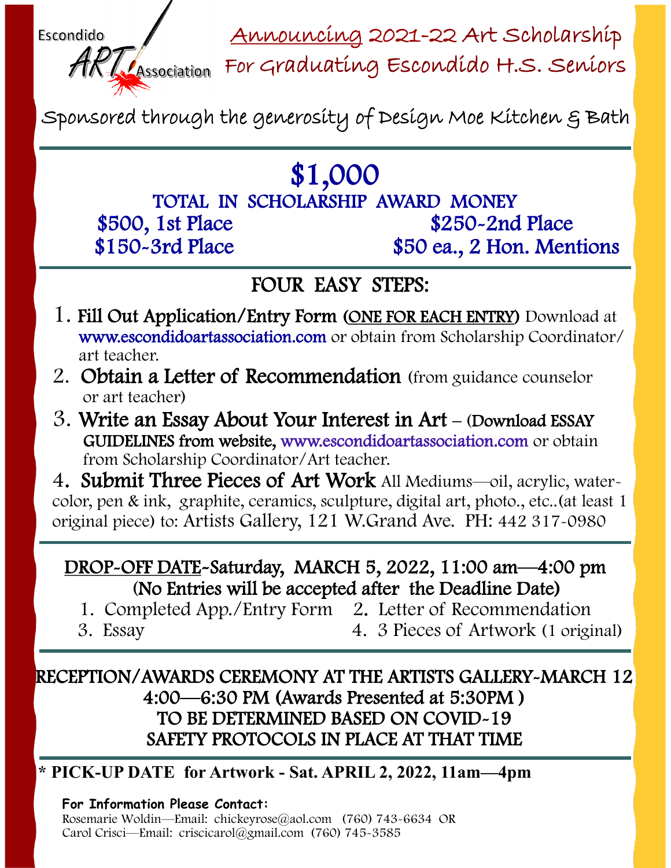Announcing 2021-22 Art Scholarship



Association For Graduating Escondido H.S. Seniors

Sponsored through the generosity of Design Moe Kitchen & Bath

# \$1,000

TOTAL IN SCHOLARSHIP AWARD MONEY<br>1st Place \$250-2nd Place \$500, 1st Place \$150-3rd Place \$50 ea., 2 Hon. Mentions

## FOUR EASY STEPS:

- 1. Fill Out Application/Entry Form (ONE FOR EACH ENTRY) Download at www.escondidoartassociation.com or obtain from Scholarship Coordinator/ art teacher.
- 2. Obtain a Letter of Recommendation (from guidance counselor or art teacher)
- 3. Write an Essay About Your Interest in Art (Download ESSAY GUIDELINES from website, www.escondidoartassociation.com or obtain from Scholarship Coordinator/Art teacher.

4. Submit Three Pieces of Art Work All Mediums—oil, acrylic, watercolor, pen & ink, graphite, ceramics, sculpture, digital art, photo., etc..(at least 1 original piece) to: Artists Gallery, 121 W.Grand Ave. PH: 442 317-0980

#### DROP-OFF DATE-Saturday, MARCH 5, 2022, 11:00 am—4:00 pm (No Entries will be accepted after the Deadline Date)

- 1. Completed App./Entry Form 2. Letter of Recommendation
- 

3. Essay 4. 3 Pieces of Artwork (1 original)

### RECEPTION/AWARDS CEREMONY AT THE ARTISTS GALLERY-MARCH 12 4:00—6:30 PM (Awards Presented at 5:30PM ) TO BE DETERMINED BASED ON COVID-19 SAFETY PROTOCOLS IN PLACE AT THAT TIME

### **\* PICK-UP DATE for Artwork - Sat. APRIL 2, 2022, 11am—4pm**

#### **For Information Please Contact:**

Rosemarie Woldin—Email: chickeyrose@aol.com (760) 743-6634 OR Carol Crisci—Email: criscicarol@gmail.com (760) 745-3585